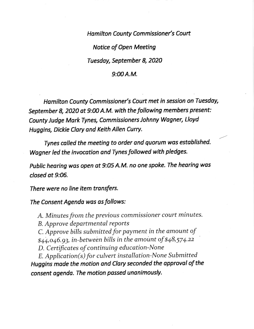Hamilton County Commissioner's Court Notice of Open Meeting Tuesdoy, September 8, 202O

## $9:00A.M.$

Hamilton County Commissioner's Court met in session on Tuesday, September 8, 2020 at 9:00 A.M. with the following members present: County Judge Mark Tynes, Commissioners Johnny Wagner, Lloyd Huggins, Dickie Clary ond Keith Allen Curry.

Tynes colled the meeting to order ond quorum wos established. Wagner led the invocation and Tynes followed with pledges.

Public hearing wos open ot 9:05 A.M. no one spoke. The hearing was closed at 9:06.

There were no line item transfers.

The Consent Agenda was as follows:

A. Minutes from the previous commissioner court minutes. B. Approve departmental reports  $C$ . Approve bills submitted for payment in the amount of  $$44,046.93$ , in-between bills in the amount of  $$48,574.22$ D. Certificates of continuing education-None E. Application(s) for culvert installation-None Submitted

Huggins mode the motion and Clory seconded the opproval of the consent agenda. The motion passed unanimously.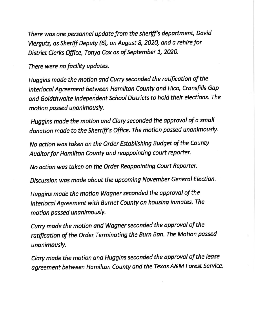There was one personnel update from the sheriff's department, David Viergutz, as Sheriff Deputy (6), on August 8, 2020, and a rehire for District Clerks Office, Tonya Cox as of September 1, 2020.

There were no focility updotes.

Huggins made the motion and Curry seconded the ratification of the Interlocal Agreement between Hamilton County and Hico, Cransfills Gap and Goldthwaite Independent School Districts to hold their elections. The motion passed unanimously.

Huggins made the motion and Clary seconded the approval of a small donation made to the Sherriff's Office. The motion passed unanimously.

No action wos token on the Order Estoblishing Budget of the County Auditor for Hamilton County and reappointing court reporter.

No action was taken on the Order Reappointing Court Reporter.

Discussion was made about the upcoming November General Election.

Huggins made the motion Wagner seconded the approval of the lnterlocol Agreement with Burnet County on housing inmotes. The motion passed unanimously.

Curry made the motion and Wagner seconded the approval of the ratification of the Order Terminating the Burn Ban. The Motion passed unanimously.

Clary made the motion and Huggins seconded the approval of the lease agreement between Hamilton County and the Texas A&M Forest Service.